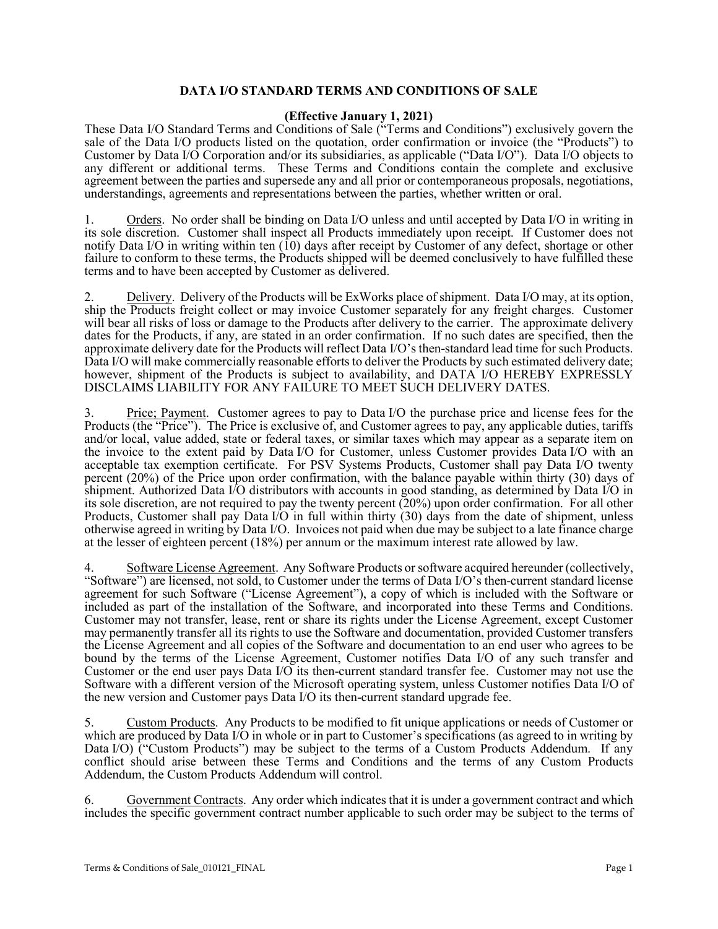## **DATA I/O STANDARD TERMS AND CONDITIONS OF SALE**

## **(Effective January 1, 2021)**

These Data I/O Standard Terms and Conditions of Sale ("Terms and Conditions") exclusively govern the sale of the Data I/O products listed on the quotation, order confirmation or invoice (the "Products") to Customer by Data I/O Corporation and/or its subsidiaries, as applicable ("Data I/O"). Data I/O objects to any different or additional terms. These Terms and Conditions contain the complete and exclusive agreement between the parties and supersede any and all prior or contemporaneous proposals, negotiations, understandings, agreements and representations between the parties, whether written or oral.

1. Orders. No order shall be binding on Data I/O unless and until accepted by Data I/O in writing in its sole discretion. Customer shall inspect all Products immediately upon receipt. If Customer does not notify Data I/O in writing within ten  $(10)$  days after receipt by Customer of any defect, shortage or other failure to conform to these terms, the Products shipped will be deemed conclusively to have fulfilled these terms and to have been accepted by Customer as delivered.

2. Delivery. Delivery of the Products will be ExWorks place of shipment. Data I/O may, at its option, ship the Products freight collect or may invoice Customer separately for any freight charges. Customer will bear all risks of loss or damage to the Products after delivery to the carrier. The approximate delivery dates for the Products, if any, are stated in an order confirmation. If no such dates are specified, then the approximate delivery date for the Products will reflect Data I/O's then-standard lead time for such Products. Data I/O will make commercially reasonable efforts to deliver the Products by such estimated delivery date; however, shipment of the Products is subject to availability, and DATA I/O HEREBY EXPRESSLY DISCLAIMS LIABILITY FOR ANY FAILURE TO MEET SUCH DELIVERY DATES.

3. Price; Payment. Customer agrees to pay to Data I/O the purchase price and license fees for the Products (the "Price"). The Price is exclusive of, and Customer agrees to pay, any applicable duties, tariffs and/or local, value added, state or federal taxes, or similar taxes which may appear as a separate item on the invoice to the extent paid by Data I/O for Customer, unless Customer provides Data I/O with an acceptable tax exemption certificate. For PSV Systems Products, Customer shall pay Data I/O twenty percent (20%) of the Price upon order confirmation, with the balance payable within thirty (30) days of shipment. Authorized Data I/O distributors with accounts in good standing, as determined by Data I/O in its sole discretion, are not required to pay the twenty percent  $(20%)$  upon order confirmation. For all other Products, Customer shall pay Data I/O in full within thirty  $(30)$  days from the date of shipment, unless otherwise agreed in writing by Data I/O. Invoices not paid when due may be subject to a late finance charge at the lesser of eighteen percent (18%) per annum or the maximum interest rate allowed by law.

4. Software License Agreement. Any Software Products or software acquired hereunder (collectively, "Software") are licensed, not sold, to Customer under the terms of Data I/O's then-current standard license agreement for such Software ("License Agreement"), a copy of which is included with the Software or included as part of the installation of the Software, and incorporated into these Terms and Conditions. Customer may not transfer, lease, rent or share its rights under the License Agreement, except Customer may permanently transfer all its rights to use the Software and documentation, provided Customer transfers the License Agreement and all copies of the Software and documentation to an end user who agrees to be bound by the terms of the License Agreement, Customer notifies Data I/O of any such transfer and Customer or the end user pays Data I/O its then-current standard transfer fee. Customer may not use the Software with a different version of the Microsoft operating system, unless Customer notifies Data I/O of the new version and Customer pays Data I/O its then-current standard upgrade fee.

5. Custom Products. Any Products to be modified to fit unique applications or needs of Customer or which are produced by Data I/O in whole or in part to Customer's specifications (as agreed to in writing by Data I/O) ("Custom Products") may be subject to the terms of a Custom Products Addendum. If any conflict should arise between these Terms and Conditions and the terms of any Custom Products Addendum, the Custom Products Addendum will control.

6. Government Contracts. Any order which indicates that it is under a government contract and which includes the specific government contract number applicable to such order may be subject to the terms of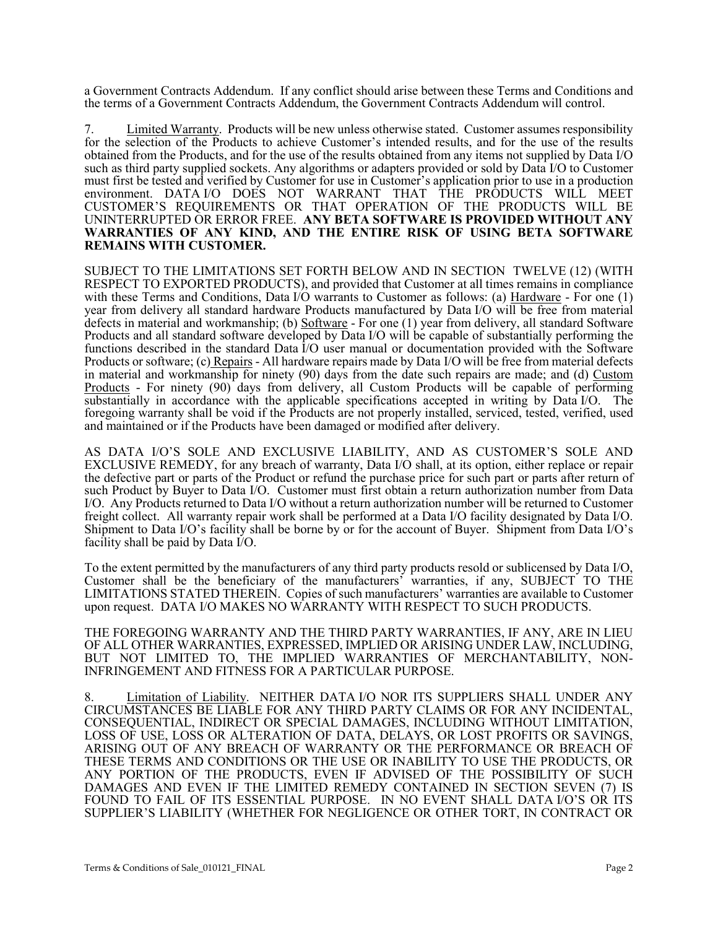a Government Contracts Addendum. If any conflict should arise between these Terms and Conditions and the terms of a Government Contracts Addendum, the Government Contracts Addendum will control.

7. Limited Warranty. Products will be new unless otherwise stated. Customer assumes responsibility for the selection of the Products to achieve Customer's intended results, and for the use of the results obtained from the Products, and for the use of the results obtained from any items not supplied by Data I/O such as third party supplied sockets. Any algorithms or adapters provided or sold by Data I/O to Customer must first be tested and verified by Customer for use in Customer's application prior to use in a production environment. DATA I/O DOES NOT WARRANT THAT THE PRODUCTS WILL MEET CUSTOMER'S REQUIREMENTS OR THAT OPERATION OF THE PRODUCTS WILL BE UNINTERRUPTED OR ERROR FREE. **ANY BETA SOFTWARE IS PROVIDED WITHOUT ANY WARRANTIES OF ANY KIND, AND THE ENTIRE RISK OF USING BETA SOFTWARE REMAINS WITH CUSTOMER.**

SUBJECT TO THE LIMITATIONS SET FORTH BELOW AND IN SECTION TWELVE (12) (WITH RESPECT TO EXPORTED PRODUCTS), and provided that Customer at all times remains in compliance with these Terms and Conditions, Data I/O warrants to Customer as follows: (a) Hardware - For one (1) year from delivery all standard hardware Products manufactured by Data I/O will be free from material defects in material and workmanship; (b) Software - For one (1) year from delivery, all standard Software Products and all standard software developed by Data I/O will be capable of substantially performing the functions described in the standard Data I/O user manual or documentation provided with the Software Products or software; (c) Repairs - All hardware repairs made by Data I/O will be free from material defects in material and workmanship for ninety (90) days from the date such repairs are made; and (d) Custom Products - For ninety (90) days from delivery, all Custom Products will be capable of performing substantially in accordance with the applicable specifications accepted in writing by Data I/O. The foregoing warranty shall be void if the Products are not properly installed, serviced, tested, verified, used and maintained or if the Products have been damaged or modified after delivery.

AS DATA I/O'S SOLE AND EXCLUSIVE LIABILITY, AND AS CUSTOMER'S SOLE AND EXCLUSIVE REMEDY, for any breach of warranty, Data I/O shall, at its option, either replace or repair the defective part or parts of the Product or refund the purchase price for such part or parts after return of such Product by Buyer to Data I/O. Customer must first obtain a return authorization number from Data I/O. Any Products returned to Data I/O without a return authorization number will be returned to Customer freight collect. All warranty repair work shall be performed at a Data I/O facility designated by Data I/O. Shipment to Data I/O's facility shall be borne by or for the account of Buyer. Shipment from Data I/O's facility shall be paid by Data I/O.

To the extent permitted by the manufacturers of any third party products resold or sublicensed by Data I/O, Customer shall be the beneficiary of the manufacturers' warranties, if any, SUBJECT TO THE LIMITATIONS STATED THEREIN. Copies of such manufacturers' warranties are available to Customer upon request. DATA I/O MAKES NO WARRANTY WITH RESPECT TO SUCH PRODUCTS.

THE FOREGOING WARRANTY AND THE THIRD PARTY WARRANTIES, IF ANY, ARE IN LIEU OF ALL OTHER WARRANTIES, EXPRESSED, IMPLIED OR ARISING UNDER LAW, INCLUDING, BUT NOT LIMITED TO, THE IMPLIED WARRANTIES OF MERCHANTABILITY, NON-<br>INFRINGEMENT AND FITNESS FOR A PARTICULAR PURPOSE.

8. Limitation of Liability. NEITHER DATA I/O NOR ITS SUPPLIERS SHALL UNDER ANY CIRCUMSTANCES BE LIABLE FOR ANY THIRD PARTY CLAIMS OR FOR ANY INCIDENTAL, CONSEQUENTIAL, INDIRECT OR SPECIAL DAMAGES, INCLUDING WITHOUT LIMITATION, LOSS OF USE, LOSS OR ALTERATION OF DATA, DELAYS, OR LOST PROFITS OR SAVINGS, ARISING OUT OF ANY BREACH OF WARRANTY OR THE PERFORMANCE OR BREACH OF THESE TERMS AND CONDITIONS OR THE USE OR INABILITY TO USE THE PRODUCTS, OR ANY PORTION OF THE PRODUCTS, EVEN IF ADVISED OF THE POSSIBILITY OF SUCH DAMAGES AND EVEN IF THE LIMITED REMEDY CONTAINED IN SECTION SEVEN (7) IS FOUND TO FAIL OF ITS ESSENTIAL PURPOSE. IN NO EVENT SHALL DATA I/O'S OR ITS SUPPLIER'S LIABILITY (WHETHER FOR NEGLIGENCE OR OTHER TORT, IN CONTRACT OR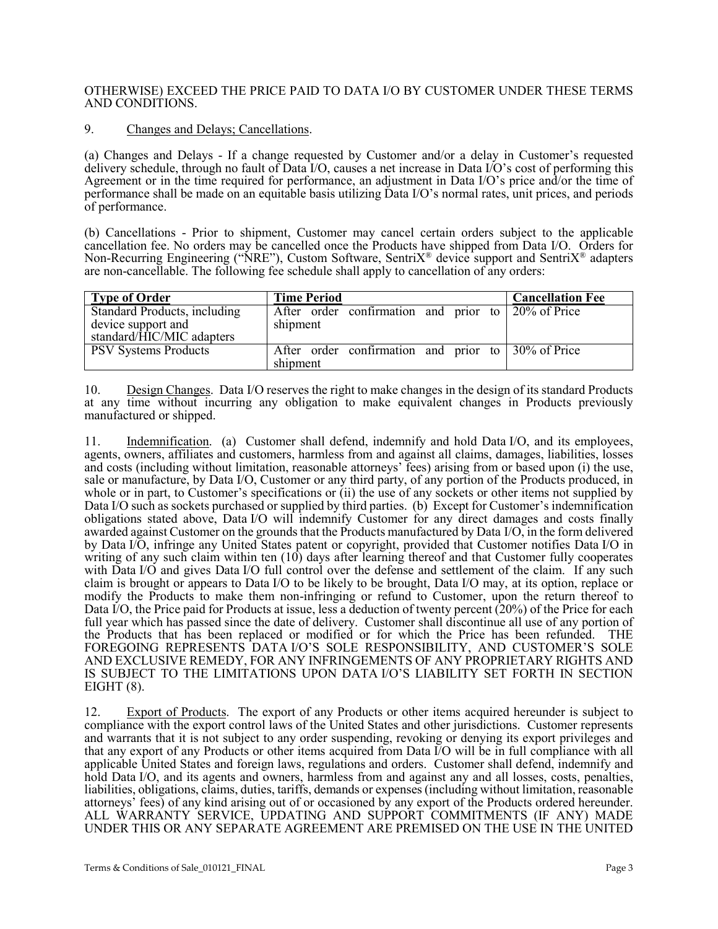## OTHERWISE) EXCEED THE PRICE PAID TO DATA I/O BY CUSTOMER UNDER THESE TERMS AND CONDITIONS.

## 9. Changes and Delays; Cancellations.

(a) Changes and Delays - If a change requested by Customer and/or a delay in Customer's requested delivery schedule, through no fault of Data I/O, causes a net increase in Data I/O's cost of performing this Agreement or in the time required for performance, an adjustment in Data I/O's price and/or the time of performance shall be made on an equitable basis utilizing Data I/O's normal rates, unit prices, and periods of performance.

(b) Cancellations - Prior to shipment, Customer may cancel certain orders subject to the applicable cancellation fee. No orders may be cancelled once the Products have shipped from Data I/O. Orders for Non-Recurring Engineering ("NRE"), Custom Software, SentriX® device support and SentriX® adapters are non-cancellable. The following fee schedule shall apply to cancellation of any orders:

| <b>Type of Order</b>         | <b>Time Period</b>                                 | <b>Cancellation Fee</b> |
|------------------------------|----------------------------------------------------|-------------------------|
| Standard Products, including | After order confirmation and prior to 20% of Price |                         |
| device support and           | shipment                                           |                         |
| standard/HIC/MIC adapters    |                                                    |                         |
| <b>PSV Systems Products</b>  | After order confirmation and prior to 30% of Price |                         |
|                              | shipment                                           |                         |

10. Design Changes. Data I/O reserves the right to make changes in the design of its standard Products at any time without incurring any obligation to make equivalent changes in Products previously manufactured or shipped.

11. Indemnification. (a) Customer shall defend, indemnify and hold Data I/O, and its employees, agents, owners, affiliates and customers, harmless from and against all claims, damages, liabilities, losses and costs (including without limitation, reasonable attorneys' fees) arising from or based upon (i) the use, sale or manufacture, by Data I/O, Customer or any third party, of any portion of the Products produced, in whole or in part, to Customer's specifications or (ii) the use of any sockets or other items not supplied by Data I/O such as sockets purchased or supplied by third parties. (b) Except for Customer's indemnification obligations stated above, Data I/O will indemnify Customer for any direct damages and costs finally awarded against Customer on the grounds that the Products manufactured by Data I/O, in the form delivered by Data I/O, infringe any United States patent or copyright, provided that Customer notifies Data I/O in writing of any such claim within ten (10) days after learning thereof and that Customer fully cooperates with Data I/O and gives Data I/O full control over the defense and settlement of the claim. If any such claim is brought or appears to Data I/O to be likely to be brought, Data I/O may, at its option, replace or modify the Products to make them non-infringing or refund to Customer, upon the return thereof to Data I/O, the Price paid for Products at issue, less a deduction of twenty percent (20%) of the Price for each full year which has passed since the date of delivery. Customer shall discontinue all use of any portion of the Products that has been replaced or modified or for which the Price has been refunded. THE FOREGOING REPRESENTS DATA I/O'S SOLE RESPONSIBILITY, AND CUSTOMER'S SOLE AND EXCLUSIVE REMEDY, FOR ANY INFRINGEMENTS OF ANY PROPRIETARY RIGHTS AND IS SUBJECT TO THE LIMITATIONS UPON DATA I/O'S LIABILITY SET FORTH IN SECTION EIGHT $(8)$ .

12. Export of Products. The export of any Products or other items acquired hereunder is subject to compliance with the export control laws of the United States and other jurisdictions. Customer represents and warrants that it is not subject to any order suspending, revoking or denying its export privileges and that any export of any Products or other items acquired from Data I/O will be in full compliance with all applicable United States and foreign laws, regulations and orders. Customer shall defend, indemnify and hold Data I/O, and its agents and owners, harmless from and against any and all losses, costs, penalties, liabilities, obligations, claims, duties, tariffs, demands or expenses (including without limitation, reasonable attorneys' fees) of any kind arising out of or occasioned by any export of the Products ordered hereunder. ALL WARRANTY SERVICE, UPDATING AND SUPPORT COMMITMENTS (IF ANY) MADE UNDER THIS OR ANY SEPARATE AGREEMENT ARE PREMISED ON THE USE IN THE UNITED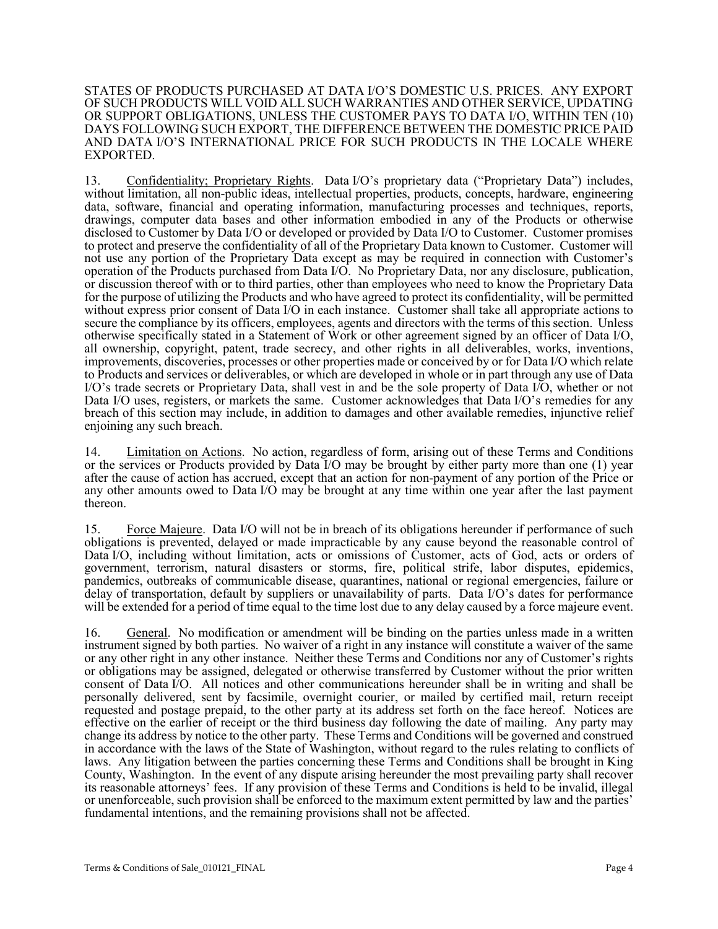STATES OF PRODUCTS PURCHASED AT DATA I/O'S DOMESTIC U.S. PRICES. ANY EXPORT OF SUCH PRODUCTS WILL VOID ALL SUCH WARRANTIES AND OTHER SERVICE, UPDATING OR SUPPORT OBLIGATIONS, UNLESS THE CUSTOMER PAYS TO DATA I/O, WITHIN TEN (10) DAYS FOLLOWING SUCH EXPORT, THE DIFFERENCE BETWEEN THE DOMESTIC PRICE PAID AND DATA I/O'S INTERNATIONAL PRICE FOR SUCH PRODUCTS IN THE LOCALE WHERE EXPORTED.

13. Confidentiality; Proprietary Rights. Data I/O's proprietary data ("Proprietary Data") includes, without limitation, all non-public ideas, intellectual properties, products, concepts, hardware, engineering data, software, financial and operating information, manufacturing processes and techniques, reports, drawings, computer data bases and other information embodied in any of the Products or otherwise disclosed to Customer by Data I/O or developed or provided by Data I/O to Customer. Customer promises to protect and preserve the confidentiality of all of the Proprietary Data known to Customer. Customer will not use any portion of the Proprietary Data except as may be required in connection with Customer's operation of the Products purchased from Data I/O. No Proprietary Data, nor any disclosure, publication, or discussion thereof with or to third parties, other than employees who need to know the Proprietary Data for the purpose of utilizing the Products and who have agreed to protect its confidentiality, will be permitted without express prior consent of Data I/O in each instance. Customer shall take all appropriate actions to secure the compliance by its officers, employees, agents and directors with the terms of this section. Unless otherwise specifically stated in a Statement of Work or other agreement signed by an officer of Data I/O, all ownership, copyright, patent, trade secrecy, and other rights in all deliverables, works, inventions, improvements, discoveries, processes or other properties made or conceived by or for Data I/O which relate to Products and services or deliverables, or which are developed in whole or in part through any use of Data I/O's trade secrets or Proprietary Data, shall vest in and be the sole property of Data I/O, whether or not Data I/O uses, registers, or markets the same. Customer acknowledges that Data I/O's remedies for any breach of this section may include, in addition to damages and other available remedies, injunctive relief enjoining any such breach.

14. Limitation on Actions. No action, regardless of form, arising out of these Terms and Conditions or the services or Products provided by Data I/O may be brought by either party more than one (1) year after the cause of action has accrued, except that an action for non-payment of any portion of the Price or any other amounts owed to Data I/O may be brought at any time within one year after the last payment thereon.

15. Force Majeure. Data I/O will not be in breach of its obligations hereunder if performance of such obligations is prevented, delayed or made impracticable by any cause beyond the reasonable control of Data I/O, including without limitation, acts or omissions of Customer, acts of God, acts or orders of government, terrorism, natural disasters or storms, fire, political strife, labor disputes, epidemics, pandemics, outbreaks of communicable disease, quarantines, national or regional emergencies, failure or delay of transportation, default by suppliers or unavailability of parts. Data I/O's dates for performance will be extended for a period of time equal to the time lost due to any delay caused by a force majeure event.

16. General. No modification or amendment will be binding on the parties unless made in a written instrument signed by both parties. No waiver of a right in any instance will constitute a waiver of the same or any other right in any other instance. Neither these Terms and Conditions nor any of Customer's rights or obligations may be assigned, delegated or otherwise transferred by Customer without the prior written consent of Data I/O. All notices and other communications hereunder shall be in writing and shall be personally delivered, sent by facsimile, overnight courier, or mailed by certified mail, return receipt requested and postage prepaid, to the other party at its address set forth on the face hereof. Notices are effective on the earlier of receipt or the third business day following the date of mailing. Any party may change its address by notice to the other party. These Terms and Conditions will be governed and construed in accordance with the laws of the State of Washington, without regard to the rules relating to conflicts of laws. Any litigation between the parties concerning these Terms and Conditions shall be brought in King County, Washington. In the event of any dispute arising hereunder the most prevailing party shall recover its reasonable attorneys' fees. If any provision of these Terms and Conditions is held to be invalid, illegal or unenforceable, such provision shall be enforced to the maximum extent permitted by law and the parties' fundamental intentions, and the remaining provisions shall not be affected.